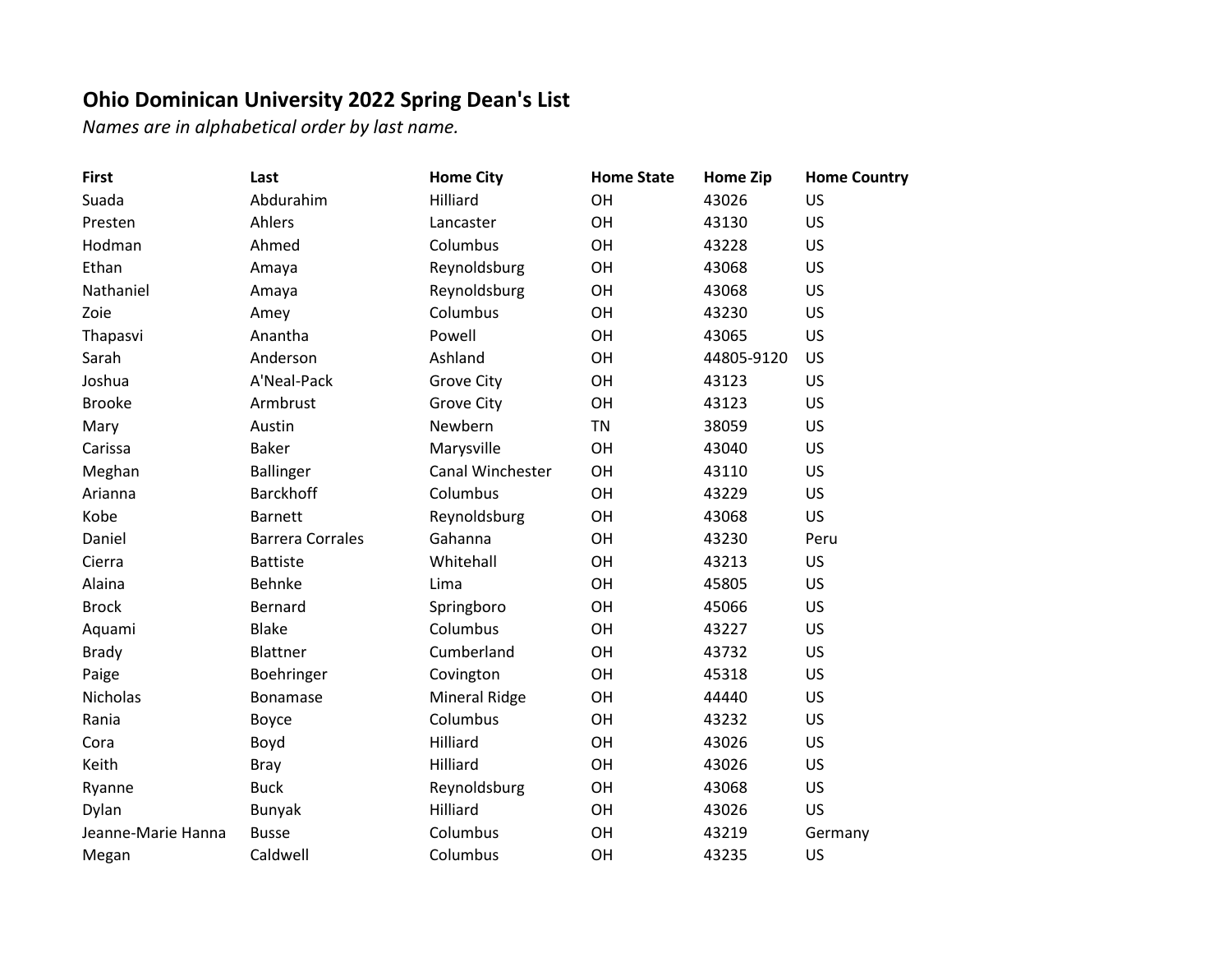## **Ohio Dominican University 2022 Spring Dean's List**

*Names are in alphabetical order by last name.*

| <b>First</b>       | Last                    | <b>Home City</b>     | <b>Home State</b> | <b>Home Zip</b> | <b>Home Country</b> |
|--------------------|-------------------------|----------------------|-------------------|-----------------|---------------------|
| Suada              | Abdurahim               | Hilliard             | OH                | 43026           | <b>US</b>           |
| Presten            | Ahlers                  | Lancaster            | OH                | 43130           | US                  |
| Hodman             | Ahmed                   | Columbus             | <b>OH</b>         | 43228           | <b>US</b>           |
| Ethan              | Amaya                   | Reynoldsburg         | OH                | 43068           | US                  |
| Nathaniel          | Amaya                   | Reynoldsburg         | OH                | 43068           | <b>US</b>           |
| Zoie               | Amey                    | Columbus             | OH                | 43230           | <b>US</b>           |
| Thapasvi           | Anantha                 | Powell               | OH                | 43065           | <b>US</b>           |
| Sarah              | Anderson                | Ashland              | OH                | 44805-9120      | US                  |
| Joshua             | A'Neal-Pack             | <b>Grove City</b>    | OH                | 43123           | US                  |
| <b>Brooke</b>      | Armbrust                | <b>Grove City</b>    | <b>OH</b>         | 43123           | <b>US</b>           |
| Mary               | Austin                  | Newbern              | <b>TN</b>         | 38059           | <b>US</b>           |
| Carissa            | <b>Baker</b>            | Marysville           | OH                | 43040           | US                  |
| Meghan             | <b>Ballinger</b>        | Canal Winchester     | OH                | 43110           | <b>US</b>           |
| Arianna            | <b>Barckhoff</b>        | Columbus             | OH                | 43229           | <b>US</b>           |
| Kobe               | <b>Barnett</b>          | Reynoldsburg         | <b>OH</b>         | 43068           | <b>US</b>           |
| Daniel             | <b>Barrera Corrales</b> | Gahanna              | OH                | 43230           | Peru                |
| Cierra             | <b>Battiste</b>         | Whitehall            | OH                | 43213           | <b>US</b>           |
| Alaina             | Behnke                  | Lima                 | OH                | 45805           | <b>US</b>           |
| <b>Brock</b>       | Bernard                 | Springboro           | OH                | 45066           | <b>US</b>           |
| Aquami             | <b>Blake</b>            | Columbus             | <b>OH</b>         | 43227           | <b>US</b>           |
| <b>Brady</b>       | Blattner                | Cumberland           | OH                | 43732           | <b>US</b>           |
| Paige              | Boehringer              | Covington            | OH                | 45318           | <b>US</b>           |
| Nicholas           | Bonamase                | <b>Mineral Ridge</b> | OH                | 44440           | US                  |
| Rania              | Boyce                   | Columbus             | <b>OH</b>         | 43232           | US                  |
| Cora               | Boyd                    | Hilliard             | <b>OH</b>         | 43026           | US                  |
| Keith              | <b>Bray</b>             | Hilliard             | <b>OH</b>         | 43026           | <b>US</b>           |
| Ryanne             | <b>Buck</b>             | Reynoldsburg         | OH                | 43068           | US                  |
| Dylan              | <b>Bunyak</b>           | Hilliard             | OH                | 43026           | US                  |
| Jeanne-Marie Hanna | <b>Busse</b>            | Columbus             | OH                | 43219           | Germany             |
| Megan              | Caldwell                | Columbus             | OH                | 43235           | US                  |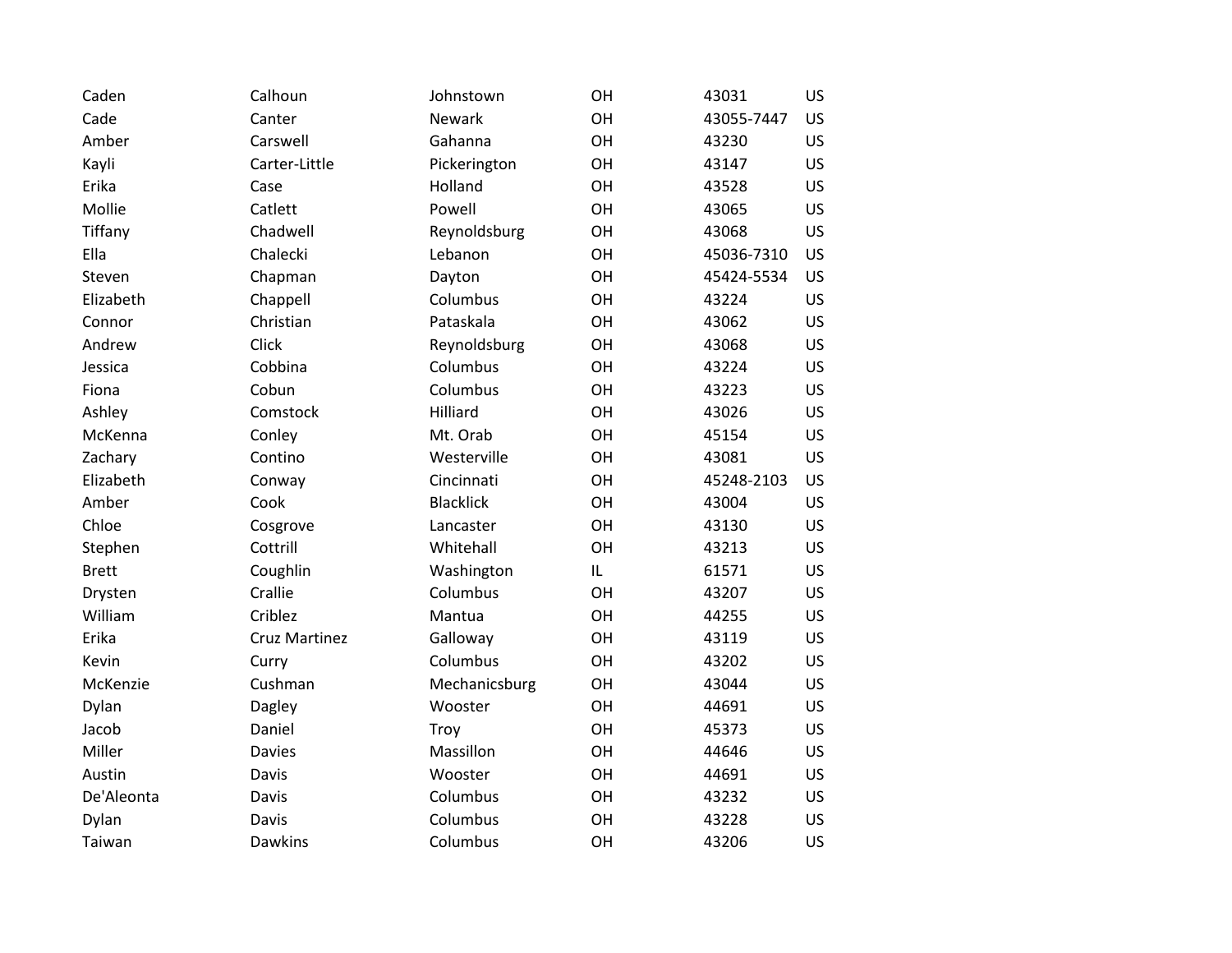| Caden        | Calhoun              | Johnstown        | OH | 43031      | <b>US</b> |
|--------------|----------------------|------------------|----|------------|-----------|
| Cade         | Canter               | Newark           | OH | 43055-7447 | <b>US</b> |
| Amber        | Carswell             | Gahanna          | OH | 43230      | <b>US</b> |
| Kayli        | Carter-Little        | Pickerington     | OH | 43147      | <b>US</b> |
| Erika        | Case                 | Holland          | OH | 43528      | <b>US</b> |
| Mollie       | Catlett              | Powell           | OH | 43065      | <b>US</b> |
| Tiffany      | Chadwell             | Reynoldsburg     | OH | 43068      | <b>US</b> |
| Ella         | Chalecki             | Lebanon          | OH | 45036-7310 | <b>US</b> |
| Steven       | Chapman              | Dayton           | OH | 45424-5534 | <b>US</b> |
| Elizabeth    | Chappell             | Columbus         | OH | 43224      | <b>US</b> |
| Connor       | Christian            | Pataskala        | OH | 43062      | <b>US</b> |
| Andrew       | <b>Click</b>         | Reynoldsburg     | OH | 43068      | <b>US</b> |
| Jessica      | Cobbina              | Columbus         | OH | 43224      | <b>US</b> |
| Fiona        | Cobun                | Columbus         | OH | 43223      | <b>US</b> |
| Ashley       | Comstock             | Hilliard         | OH | 43026      | <b>US</b> |
| McKenna      | Conley               | Mt. Orab         | OH | 45154      | <b>US</b> |
| Zachary      | Contino              | Westerville      | OH | 43081      | <b>US</b> |
| Elizabeth    | Conway               | Cincinnati       | OH | 45248-2103 | <b>US</b> |
| Amber        | Cook                 | <b>Blacklick</b> | OH | 43004      | <b>US</b> |
| Chloe        | Cosgrove             | Lancaster        | OH | 43130      | <b>US</b> |
| Stephen      | Cottrill             | Whitehall        | OH | 43213      | <b>US</b> |
| <b>Brett</b> | Coughlin             | Washington       | IL | 61571      | <b>US</b> |
| Drysten      | Crallie              | Columbus         | OH | 43207      | <b>US</b> |
| William      | Criblez              | Mantua           | OH | 44255      | <b>US</b> |
| Erika        | <b>Cruz Martinez</b> | Galloway         | OH | 43119      | US.       |
| Kevin        | Curry                | Columbus         | OH | 43202      | <b>US</b> |
| McKenzie     | Cushman              | Mechanicsburg    | OH | 43044      | <b>US</b> |
| Dylan        | Dagley               | Wooster          | OH | 44691      | <b>US</b> |
| Jacob        | Daniel               | Troy             | OH | 45373      | <b>US</b> |
| Miller       | <b>Davies</b>        | Massillon        | OH | 44646      | <b>US</b> |
| Austin       | Davis                | Wooster          | OH | 44691      | <b>US</b> |
| De'Aleonta   | Davis                | Columbus         | OH | 43232      | <b>US</b> |
| Dylan        | Davis                | Columbus         | OH | 43228      | <b>US</b> |
| Taiwan       | <b>Dawkins</b>       | Columbus         | OH | 43206      | US        |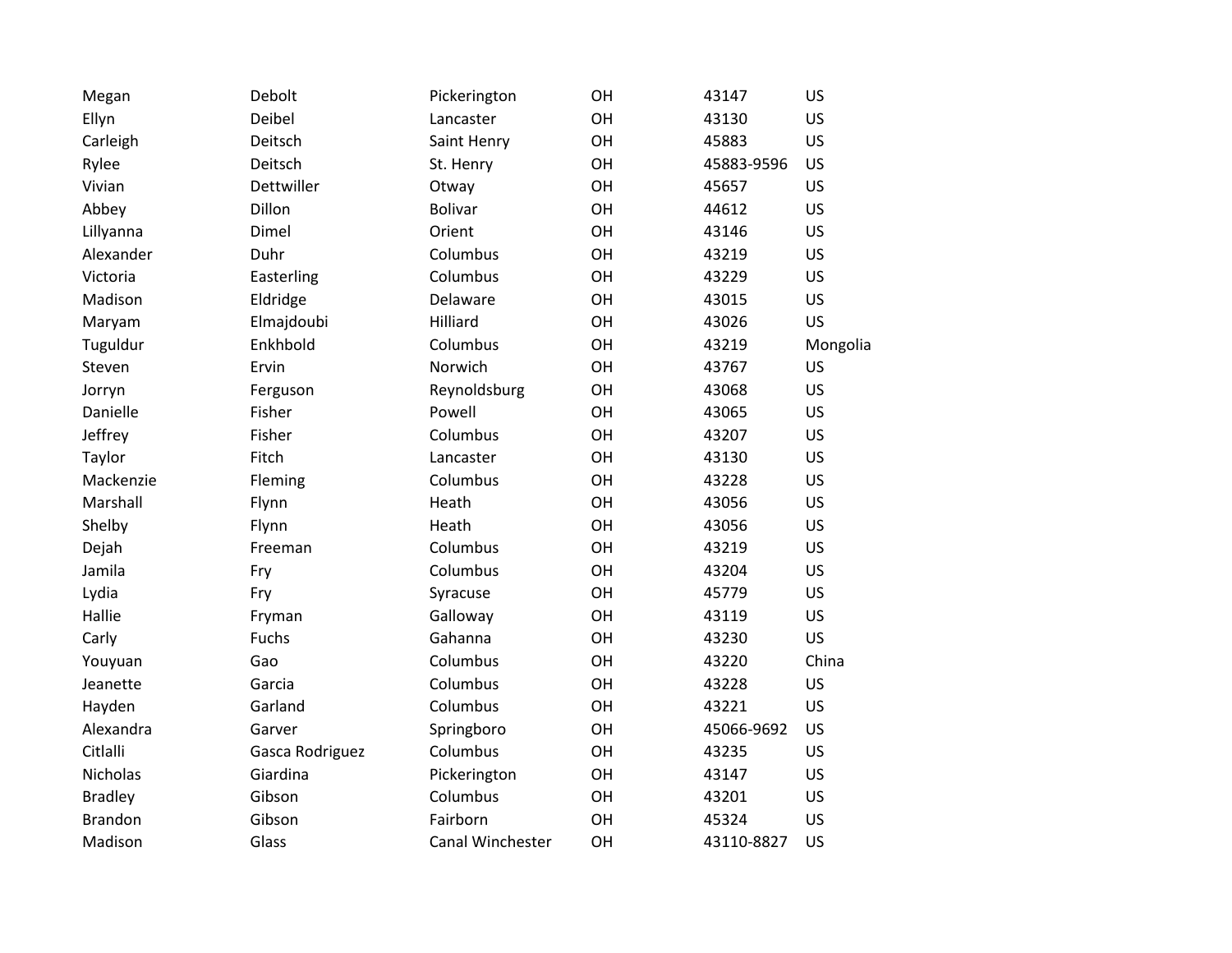| Megan          | Debolt          | Pickerington     | OH        | 43147      | <b>US</b> |
|----------------|-----------------|------------------|-----------|------------|-----------|
| Ellyn          | Deibel          | Lancaster        | OH        | 43130      | <b>US</b> |
| Carleigh       | Deitsch         | Saint Henry      | OH        | 45883      | <b>US</b> |
| Rylee          | Deitsch         | St. Henry        | OH        | 45883-9596 | <b>US</b> |
| Vivian         | Dettwiller      | Otway            | OH        | 45657      | <b>US</b> |
| Abbey          | Dillon          | <b>Bolivar</b>   | OH        | 44612      | <b>US</b> |
| Lillyanna      | Dimel           | Orient           | OH        | 43146      | <b>US</b> |
| Alexander      | Duhr            | Columbus         | OH        | 43219      | US.       |
| Victoria       | Easterling      | Columbus         | OH        | 43229      | <b>US</b> |
| Madison        | Eldridge        | Delaware         | OH        | 43015      | <b>US</b> |
| Maryam         | Elmajdoubi      | Hilliard         | <b>OH</b> | 43026      | <b>US</b> |
| Tuguldur       | Enkhbold        | Columbus         | OH        | 43219      | Mongolia  |
| Steven         | Ervin           | Norwich          | OH        | 43767      | <b>US</b> |
| Jorryn         | Ferguson        | Reynoldsburg     | <b>OH</b> | 43068      | <b>US</b> |
| Danielle       | Fisher          | Powell           | OH        | 43065      | <b>US</b> |
| Jeffrey        | Fisher          | Columbus         | <b>OH</b> | 43207      | <b>US</b> |
| Taylor         | Fitch           | Lancaster        | OH        | 43130      | <b>US</b> |
| Mackenzie      | Fleming         | Columbus         | OH        | 43228      | <b>US</b> |
| Marshall       | Flynn           | Heath            | <b>OH</b> | 43056      | <b>US</b> |
| Shelby         | Flynn           | Heath            | OH        | 43056      | <b>US</b> |
| Dejah          | Freeman         | Columbus         | <b>OH</b> | 43219      | <b>US</b> |
| Jamila         | Fry             | Columbus         | OH        | 43204      | <b>US</b> |
| Lydia          | Fry             | Syracuse         | OH        | 45779      | <b>US</b> |
| Hallie         | Fryman          | Galloway         | <b>OH</b> | 43119      | <b>US</b> |
| Carly          | Fuchs           | Gahanna          | OH        | 43230      | <b>US</b> |
| Youyuan        | Gao             | Columbus         | <b>OH</b> | 43220      | China     |
| Jeanette       | Garcia          | Columbus         | OH        | 43228      | <b>US</b> |
| Hayden         | Garland         | Columbus         | OH        | 43221      | <b>US</b> |
| Alexandra      | Garver          | Springboro       | OH        | 45066-9692 | <b>US</b> |
| Citlalli       | Gasca Rodriguez | Columbus         | OH        | 43235      | <b>US</b> |
| Nicholas       | Giardina        | Pickerington     | <b>OH</b> | 43147      | <b>US</b> |
| <b>Bradley</b> | Gibson          | Columbus         | OH        | 43201      | <b>US</b> |
| <b>Brandon</b> | Gibson          | Fairborn         | OH        | 45324      | <b>US</b> |
| Madison        | Glass           | Canal Winchester | OH        | 43110-8827 | <b>US</b> |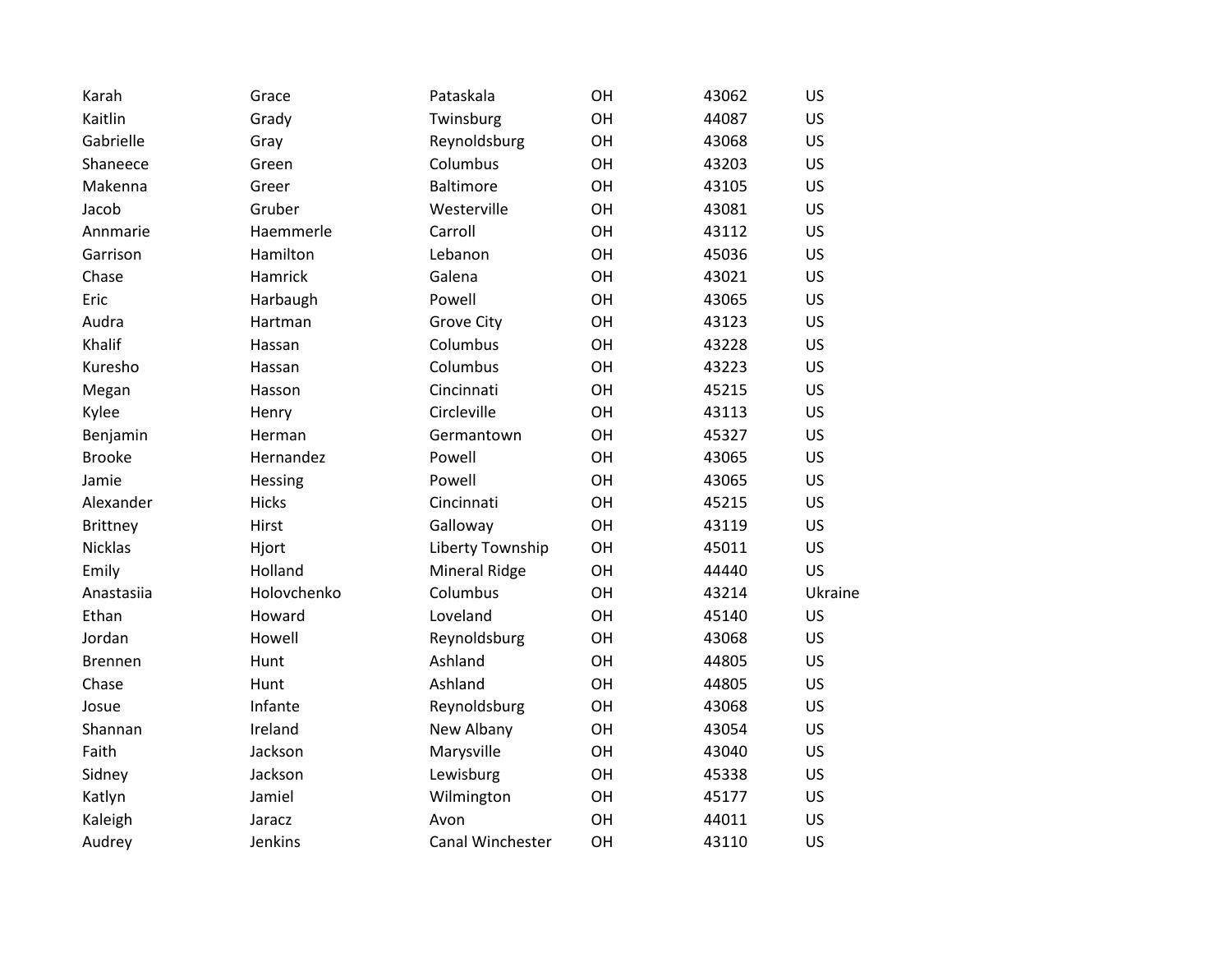| Karah          | Grace        | Pataskala            | OH | 43062 | US        |
|----------------|--------------|----------------------|----|-------|-----------|
| Kaitlin        | Grady        | Twinsburg            | OH | 44087 | <b>US</b> |
| Gabrielle      | Gray         | Reynoldsburg         | OH | 43068 | <b>US</b> |
| Shaneece       | Green        | Columbus             | OH | 43203 | <b>US</b> |
| Makenna        | Greer        | <b>Baltimore</b>     | OH | 43105 | <b>US</b> |
| Jacob          | Gruber       | Westerville          | OH | 43081 | <b>US</b> |
| Annmarie       | Haemmerle    | Carroll              | OH | 43112 | <b>US</b> |
| Garrison       | Hamilton     | Lebanon              | OH | 45036 | <b>US</b> |
| Chase          | Hamrick      | Galena               | OH | 43021 | <b>US</b> |
| Eric           | Harbaugh     | Powell               | OH | 43065 | <b>US</b> |
| Audra          | Hartman      | Grove City           | OH | 43123 | <b>US</b> |
| Khalif         | Hassan       | Columbus             | OH | 43228 | <b>US</b> |
| Kuresho        | Hassan       | Columbus             | OH | 43223 | <b>US</b> |
| Megan          | Hasson       | Cincinnati           | OH | 45215 | <b>US</b> |
| Kylee          | Henry        | Circleville          | OH | 43113 | <b>US</b> |
| Benjamin       | Herman       | Germantown           | OH | 45327 | <b>US</b> |
| <b>Brooke</b>  | Hernandez    | Powell               | OH | 43065 | <b>US</b> |
| Jamie          | Hessing      | Powell               | OH | 43065 | <b>US</b> |
| Alexander      | <b>Hicks</b> | Cincinnati           | OH | 45215 | <b>US</b> |
| Brittney       | Hirst        | Galloway             | OH | 43119 | <b>US</b> |
| <b>Nicklas</b> | Hjort        | Liberty Township     | OH | 45011 | <b>US</b> |
| Emily          | Holland      | <b>Mineral Ridge</b> | OH | 44440 | <b>US</b> |
| Anastasiia     | Holovchenko  | Columbus             | OH | 43214 | Ukraine   |
| Ethan          | Howard       | Loveland             | OH | 45140 | <b>US</b> |
| Jordan         | Howell       | Reynoldsburg         | OH | 43068 | <b>US</b> |
| <b>Brennen</b> | Hunt         | Ashland              | OH | 44805 | <b>US</b> |
| Chase          | Hunt         | Ashland              | OH | 44805 | <b>US</b> |
| Josue          | Infante      | Reynoldsburg         | OH | 43068 | <b>US</b> |
| Shannan        | Ireland      | New Albany           | OH | 43054 | <b>US</b> |
| Faith          | Jackson      | Marysville           | OH | 43040 | <b>US</b> |
| Sidney         | Jackson      | Lewisburg            | OH | 45338 | <b>US</b> |
| Katlyn         | Jamiel       | Wilmington           | OH | 45177 | <b>US</b> |
| Kaleigh        | Jaracz       | Avon                 | OH | 44011 | US        |
| Audrey         | Jenkins      | Canal Winchester     | OH | 43110 | US        |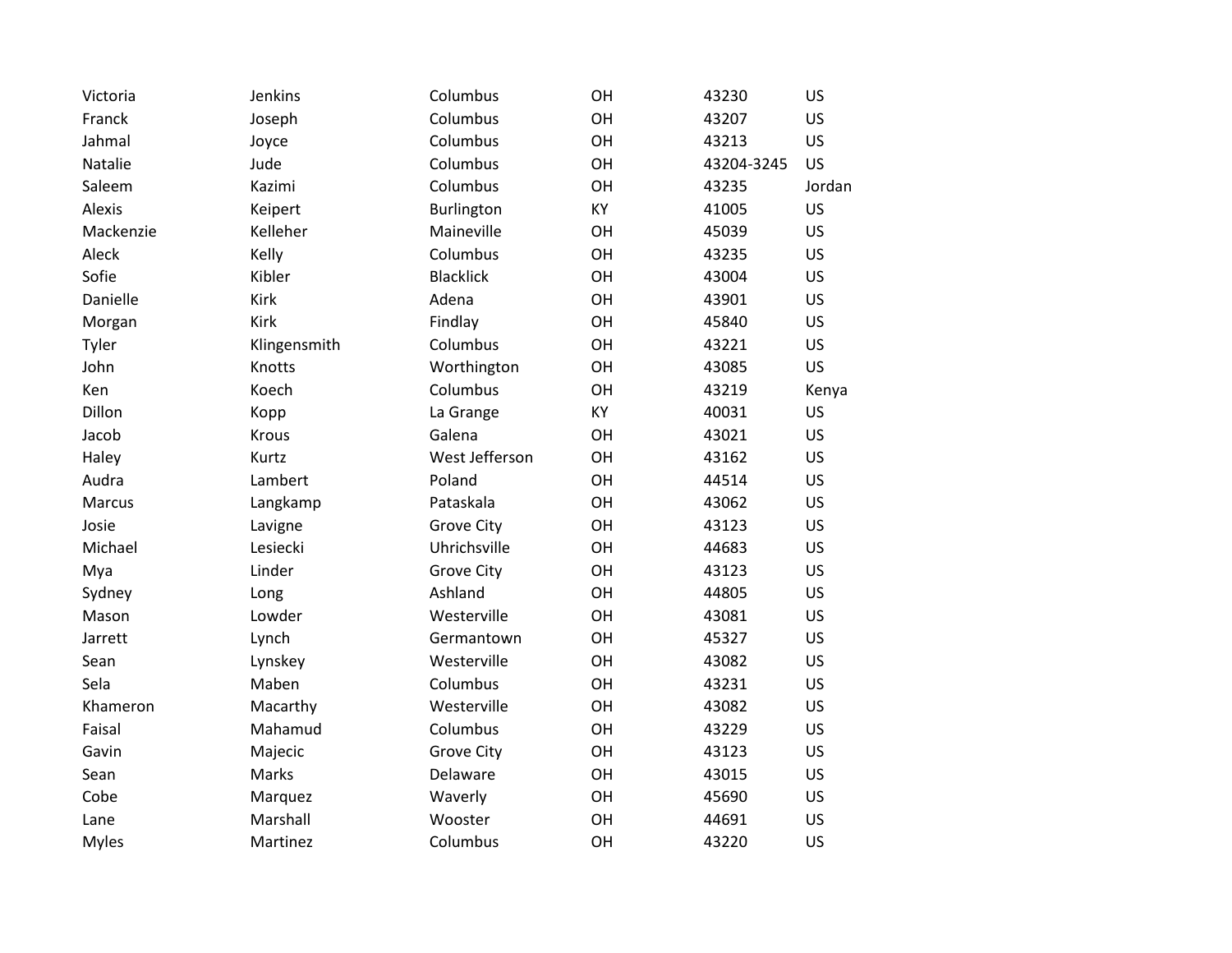| Victoria     | Jenkins      | Columbus          | OH | 43230      | <b>US</b> |
|--------------|--------------|-------------------|----|------------|-----------|
| Franck       | Joseph       | Columbus          | OH | 43207      | <b>US</b> |
| Jahmal       | Joyce        | Columbus          | OH | 43213      | <b>US</b> |
| Natalie      | Jude         | Columbus          | OH | 43204-3245 | <b>US</b> |
| Saleem       | Kazimi       | Columbus          | OH | 43235      | Jordan    |
| Alexis       | Keipert      | Burlington        | KY | 41005      | US        |
| Mackenzie    | Kelleher     | Maineville        | OH | 45039      | <b>US</b> |
| Aleck        | Kelly        | Columbus          | OH | 43235      | <b>US</b> |
| Sofie        | Kibler       | <b>Blacklick</b>  | OH | 43004      | <b>US</b> |
| Danielle     | Kirk         | Adena             | OH | 43901      | <b>US</b> |
| Morgan       | Kirk         | Findlay           | OH | 45840      | <b>US</b> |
| Tyler        | Klingensmith | Columbus          | OH | 43221      | <b>US</b> |
| John         | Knotts       | Worthington       | OH | 43085      | <b>US</b> |
| Ken          | Koech        | Columbus          | OH | 43219      | Kenya     |
| Dillon       | Kopp         | La Grange         | KY | 40031      | <b>US</b> |
| Jacob        | Krous        | Galena            | OH | 43021      | <b>US</b> |
| Haley        | Kurtz        | West Jefferson    | OH | 43162      | <b>US</b> |
| Audra        | Lambert      | Poland            | OH | 44514      | <b>US</b> |
| Marcus       | Langkamp     | Pataskala         | OH | 43062      | <b>US</b> |
| Josie        | Lavigne      | <b>Grove City</b> | OH | 43123      | <b>US</b> |
| Michael      | Lesiecki     | Uhrichsville      | OH | 44683      | <b>US</b> |
| Mya          | Linder       | <b>Grove City</b> | OH | 43123      | <b>US</b> |
| Sydney       | Long         | Ashland           | OH | 44805      | <b>US</b> |
| Mason        | Lowder       | Westerville       | OH | 43081      | <b>US</b> |
| Jarrett      | Lynch        | Germantown        | OH | 45327      | <b>US</b> |
| Sean         | Lynskey      | Westerville       | OH | 43082      | <b>US</b> |
| Sela         | Maben        | Columbus          | OH | 43231      | <b>US</b> |
| Khameron     | Macarthy     | Westerville       | OH | 43082      | <b>US</b> |
| Faisal       | Mahamud      | Columbus          | OH | 43229      | <b>US</b> |
| Gavin        | Majecic      | <b>Grove City</b> | OH | 43123      | <b>US</b> |
| Sean         | Marks        | Delaware          | OH | 43015      | <b>US</b> |
| Cobe         | Marquez      | Waverly           | OH | 45690      | <b>US</b> |
| Lane         | Marshall     | Wooster           | OH | 44691      | <b>US</b> |
| <b>Myles</b> | Martinez     | Columbus          | OH | 43220      | US        |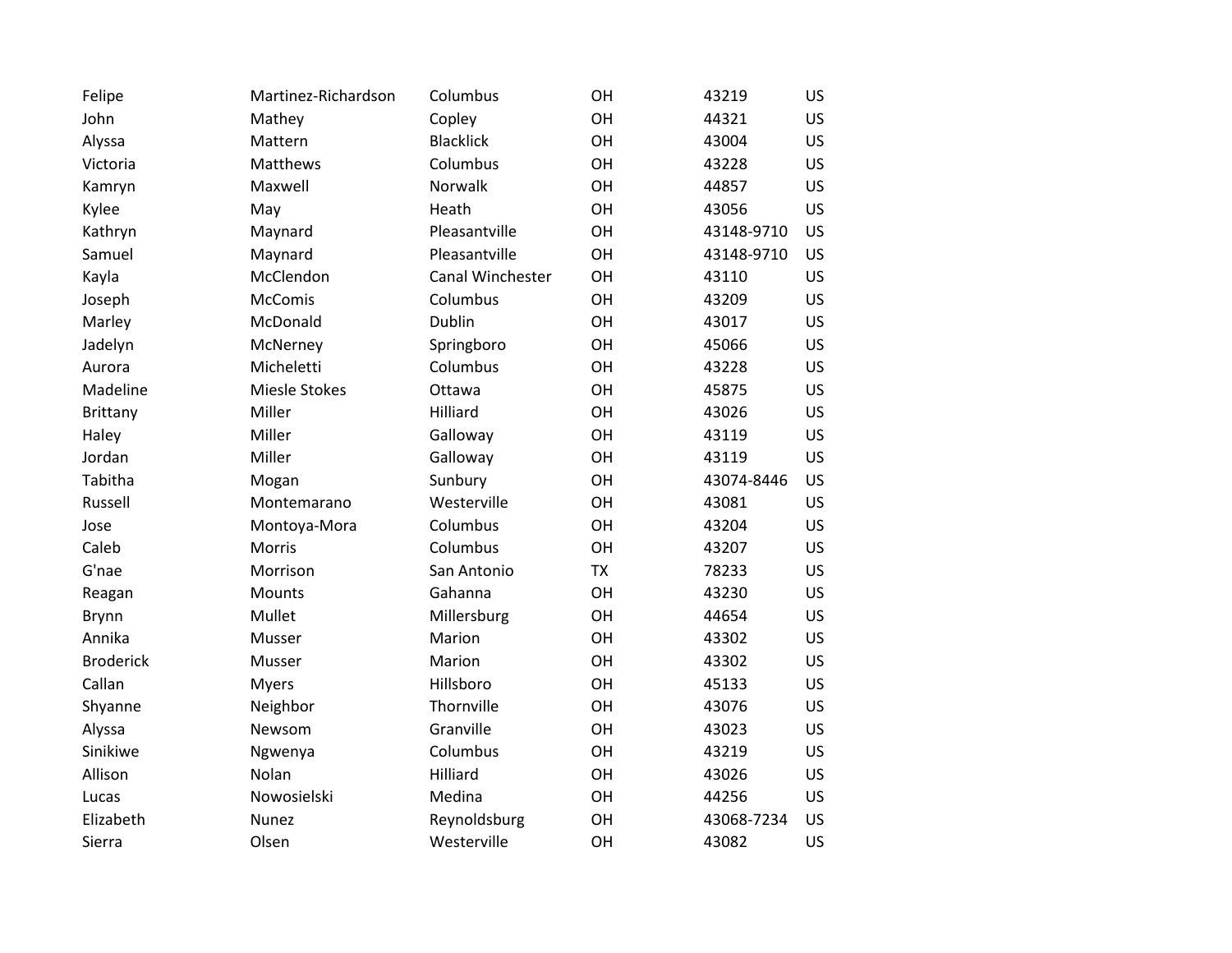| Felipe           | Martinez-Richardson | Columbus         | OH        | 43219      | <b>US</b> |
|------------------|---------------------|------------------|-----------|------------|-----------|
| John             | Mathey              | Copley           | OH        | 44321      | <b>US</b> |
| Alyssa           | Mattern             | <b>Blacklick</b> | OH        | 43004      | <b>US</b> |
| Victoria         | Matthews            | Columbus         | OH        | 43228      | <b>US</b> |
| Kamryn           | Maxwell             | Norwalk          | OH        | 44857      | <b>US</b> |
| Kylee            | May                 | Heath            | OH        | 43056      | <b>US</b> |
| Kathryn          | Maynard             | Pleasantville    | OH        | 43148-9710 | US        |
| Samuel           | Maynard             | Pleasantville    | OH        | 43148-9710 | US        |
| Kayla            | McClendon           | Canal Winchester | OH        | 43110      | <b>US</b> |
| Joseph           | <b>McComis</b>      | Columbus         | OH        | 43209      | <b>US</b> |
| Marley           | McDonald            | Dublin           | OH        | 43017      | <b>US</b> |
| Jadelyn          | McNerney            | Springboro       | OH        | 45066      | <b>US</b> |
| Aurora           | Micheletti          | Columbus         | OH        | 43228      | <b>US</b> |
| Madeline         | Miesle Stokes       | Ottawa           | OH        | 45875      | <b>US</b> |
| <b>Brittany</b>  | Miller              | Hilliard         | OH        | 43026      | <b>US</b> |
| Haley            | Miller              | Galloway         | OH        | 43119      | <b>US</b> |
| Jordan           | Miller              | Galloway         | OH        | 43119      | <b>US</b> |
| Tabitha          | Mogan               | Sunbury          | OH        | 43074-8446 | US        |
| Russell          | Montemarano         | Westerville      | OH        | 43081      | <b>US</b> |
| Jose             | Montoya-Mora        | Columbus         | OH        | 43204      | US        |
| Caleb            | <b>Morris</b>       | Columbus         | OH        | 43207      | <b>US</b> |
| G'nae            | Morrison            | San Antonio      | <b>TX</b> | 78233      | <b>US</b> |
| Reagan           | <b>Mounts</b>       | Gahanna          | OH        | 43230      | <b>US</b> |
| <b>Brynn</b>     | Mullet              | Millersburg      | OH        | 44654      | <b>US</b> |
| Annika           | Musser              | Marion           | OH        | 43302      | <b>US</b> |
| <b>Broderick</b> | Musser              | Marion           | OH        | 43302      | US        |
| Callan           | <b>Myers</b>        | Hillsboro        | OH        | 45133      | <b>US</b> |
| Shyanne          | Neighbor            | Thornville       | OH        | 43076      | US        |
| Alyssa           | Newsom              | Granville        | OH        | 43023      | <b>US</b> |
| Sinikiwe         | Ngwenya             | Columbus         | OH        | 43219      | US        |
| Allison          | Nolan               | Hilliard         | OH        | 43026      | US        |
| Lucas            | Nowosielski         | Medina           | OH        | 44256      | <b>US</b> |
| Elizabeth        | Nunez               | Reynoldsburg     | OH        | 43068-7234 | US        |
| Sierra           | Olsen               | Westerville      | OH        | 43082      | US        |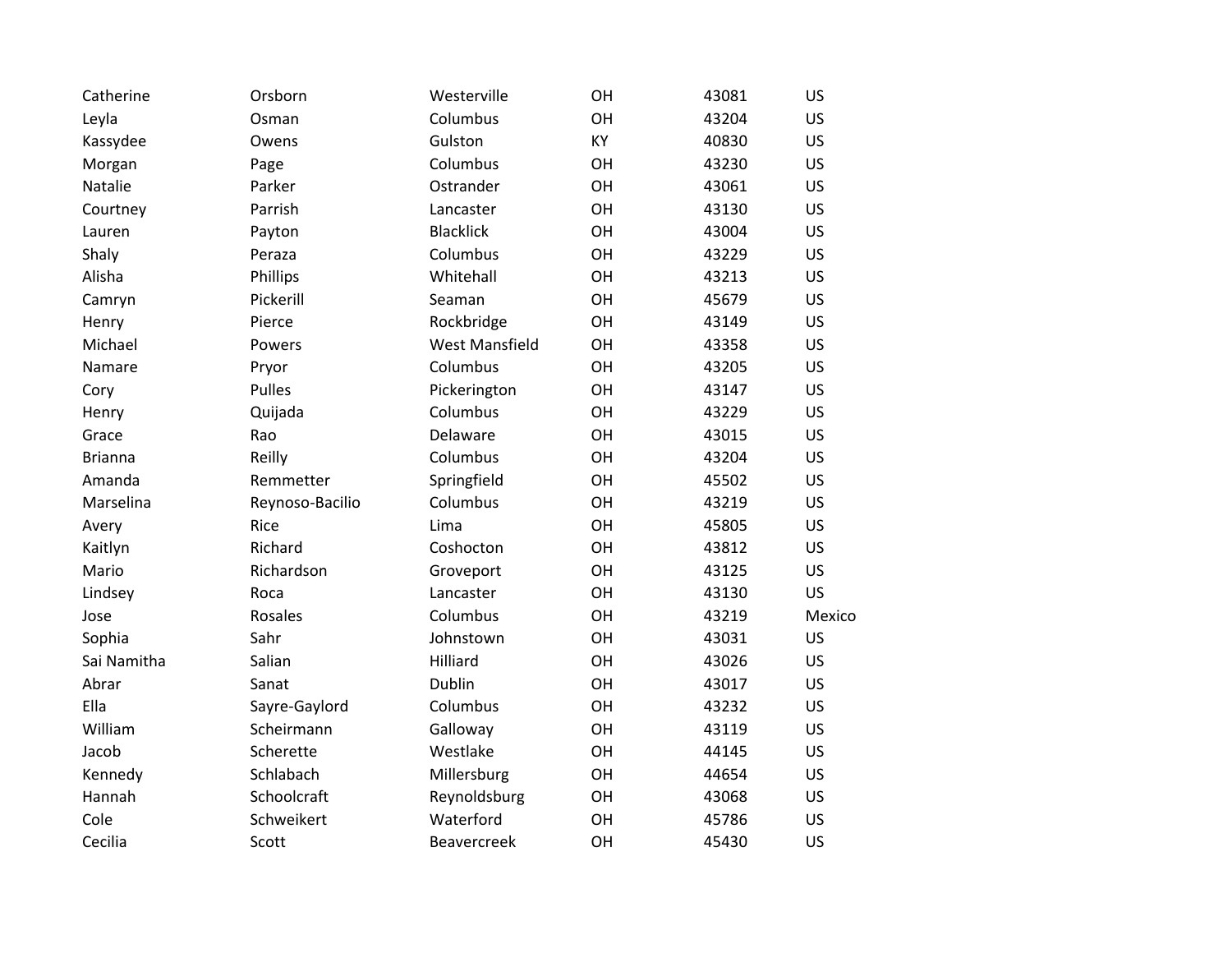| Catherine      | Orsborn         | Westerville           | OH | 43081 | US        |
|----------------|-----------------|-----------------------|----|-------|-----------|
| Leyla          | Osman           | Columbus              | OH | 43204 | <b>US</b> |
| Kassydee       | Owens           | Gulston               | KY | 40830 | <b>US</b> |
| Morgan         | Page            | Columbus              | OH | 43230 | <b>US</b> |
| Natalie        | Parker          | Ostrander             | OH | 43061 | <b>US</b> |
| Courtney       | Parrish         | Lancaster             | OH | 43130 | <b>US</b> |
| Lauren         | Payton          | <b>Blacklick</b>      | OH | 43004 | <b>US</b> |
| Shaly          | Peraza          | Columbus              | OH | 43229 | <b>US</b> |
| Alisha         | Phillips        | Whitehall             | OH | 43213 | <b>US</b> |
| Camryn         | Pickerill       | Seaman                | OH | 45679 | US        |
| Henry          | Pierce          | Rockbridge            | OH | 43149 | <b>US</b> |
| Michael        | Powers          | <b>West Mansfield</b> | OH | 43358 | <b>US</b> |
| Namare         | Pryor           | Columbus              | OH | 43205 | <b>US</b> |
| Cory           | <b>Pulles</b>   | Pickerington          | OH | 43147 | <b>US</b> |
| Henry          | Quijada         | Columbus              | OH | 43229 | US.       |
| Grace          | Rao             | Delaware              | OH | 43015 | <b>US</b> |
| <b>Brianna</b> | Reilly          | Columbus              | OH | 43204 | US.       |
| Amanda         | Remmetter       | Springfield           | OH | 45502 | <b>US</b> |
| Marselina      | Reynoso-Bacilio | Columbus              | OH | 43219 | <b>US</b> |
| Avery          | Rice            | Lima                  | OH | 45805 | <b>US</b> |
| Kaitlyn        | Richard         | Coshocton             | OH | 43812 | <b>US</b> |
| Mario          | Richardson      | Groveport             | OH | 43125 | <b>US</b> |
| Lindsey        | Roca            | Lancaster             | OH | 43130 | US        |
| Jose           | Rosales         | Columbus              | OH | 43219 | Mexico    |
| Sophia         | Sahr            | Johnstown             | OH | 43031 | US        |
| Sai Namitha    | Salian          | Hilliard              | OH | 43026 | <b>US</b> |
| Abrar          | Sanat           | Dublin                | OH | 43017 | US        |
| Ella           | Sayre-Gaylord   | Columbus              | OH | 43232 | <b>US</b> |
| William        | Scheirmann      | Galloway              | OH | 43119 | US        |
| Jacob          | Scherette       | Westlake              | OH | 44145 | <b>US</b> |
| Kennedy        | Schlabach       | Millersburg           | OH | 44654 | <b>US</b> |
| Hannah         | Schoolcraft     | Reynoldsburg          | OH | 43068 | <b>US</b> |
| Cole           | Schweikert      | Waterford             | OH | 45786 | <b>US</b> |
| Cecilia        | Scott           | Beavercreek           | OH | 45430 | US        |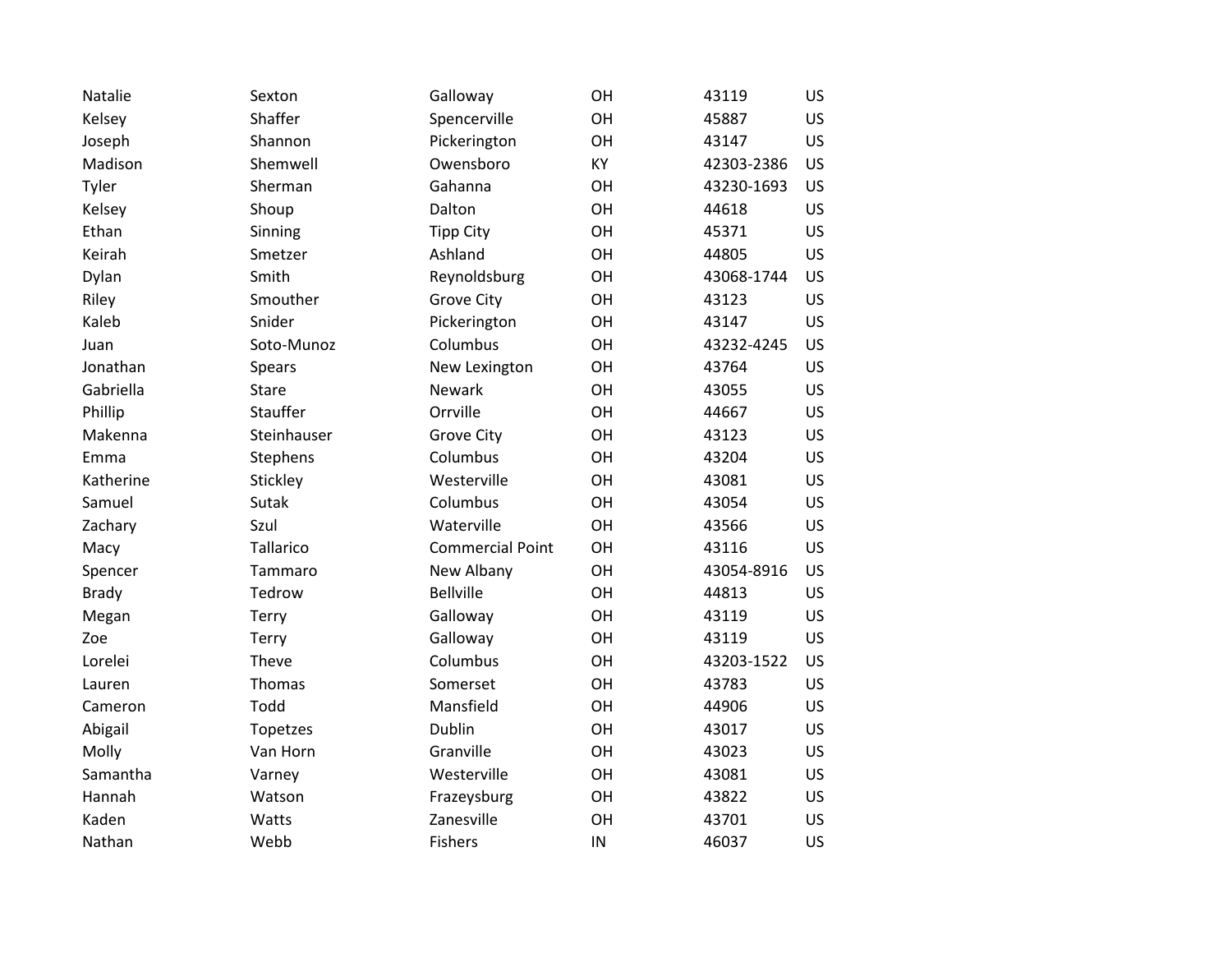| Natalie      | Sexton        | Galloway                | OH        | 43119      | <b>US</b> |
|--------------|---------------|-------------------------|-----------|------------|-----------|
| Kelsey       | Shaffer       | Spencerville            | OH        | 45887      | <b>US</b> |
| Joseph       | Shannon       | Pickerington            | OH        | 43147      | <b>US</b> |
| Madison      | Shemwell      | Owensboro               | <b>KY</b> | 42303-2386 | <b>US</b> |
| Tyler        | Sherman       | Gahanna                 | OH        | 43230-1693 | <b>US</b> |
| Kelsey       | Shoup         | Dalton                  | OH        | 44618      | <b>US</b> |
| Ethan        | Sinning       | <b>Tipp City</b>        | OH        | 45371      | <b>US</b> |
| Keirah       | Smetzer       | Ashland                 | OH        | 44805      | US        |
| Dylan        | Smith         | Reynoldsburg            | OH        | 43068-1744 | <b>US</b> |
| Riley        | Smouther      | <b>Grove City</b>       | OH        | 43123      | US        |
| Kaleb        | Snider        | Pickerington            | OH        | 43147      | US        |
| Juan         | Soto-Munoz    | Columbus                | OH        | 43232-4245 | <b>US</b> |
| Jonathan     | <b>Spears</b> | New Lexington           | OH        | 43764      | <b>US</b> |
| Gabriella    | <b>Stare</b>  | <b>Newark</b>           | OH        | 43055      | <b>US</b> |
| Phillip      | Stauffer      | Orrville                | OH        | 44667      | <b>US</b> |
| Makenna      | Steinhauser   | <b>Grove City</b>       | OH        | 43123      | <b>US</b> |
| Emma         | Stephens      | Columbus                | OH        | 43204      | <b>US</b> |
| Katherine    | Stickley      | Westerville             | OH        | 43081      | <b>US</b> |
| Samuel       | Sutak         | Columbus                | OH        | 43054      | <b>US</b> |
| Zachary      | Szul          | Waterville              | OH        | 43566      | US        |
| Macy         | Tallarico     | <b>Commercial Point</b> | OH        | 43116      | <b>US</b> |
| Spencer      | Tammaro       | New Albany              | OH        | 43054-8916 | <b>US</b> |
| <b>Brady</b> | Tedrow        | <b>Bellville</b>        | OH        | 44813      | <b>US</b> |
| Megan        | <b>Terry</b>  | Galloway                | OH        | 43119      | <b>US</b> |
| Zoe          | Terry         | Galloway                | OH        | 43119      | <b>US</b> |
| Lorelei      | Theve         | Columbus                | OH        | 43203-1522 | US        |
| Lauren       | Thomas        | Somerset                | OH        | 43783      | <b>US</b> |
| Cameron      | Todd          | Mansfield               | OH        | 44906      | US        |
| Abigail      | Topetzes      | Dublin                  | OH        | 43017      | <b>US</b> |
| Molly        | Van Horn      | Granville               | OH        | 43023      | US        |
| Samantha     | Varney        | Westerville             | OH        | 43081      | <b>US</b> |
| Hannah       | Watson        | Frazeysburg             | OH        | 43822      | <b>US</b> |
| Kaden        | Watts         | Zanesville              | OH        | 43701      | US        |
| Nathan       | Webb          | <b>Fishers</b>          | IN        | 46037      | US        |